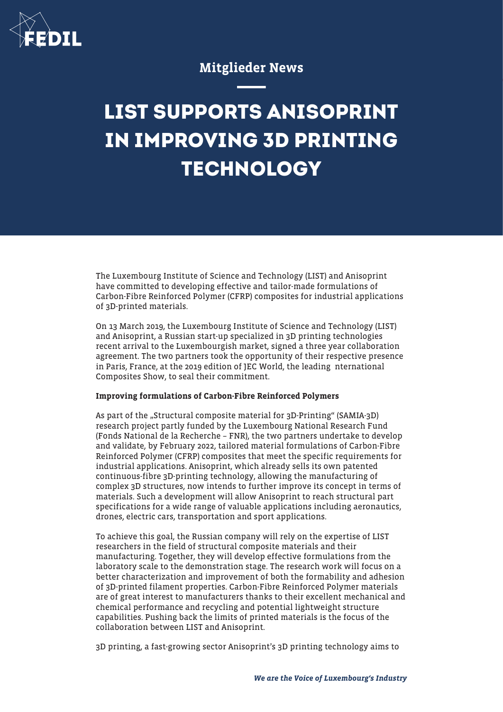

## Mitglieder News

## **LIST SUPPORTS ANISOPRINT IN IMPROVING 3D PRINTING TECHNOLOGY**

The Luxembourg Institute of Science and Technology (LIST) and Anisoprint have committed to developing effective and tailor-made formulations of Carbon-Fibre Reinforced Polymer (CFRP) composites for industrial applications of 3D-printed materials.

On 13 March 2019, the Luxembourg Institute of Science and Technology (LIST) and Anisoprint, a Russian start-up specialized in 3D printing technologies recent arrival to the Luxembourgish market, signed a three year collaboration agreement. The two partners took the opportunity of their respective presence in Paris, France, at the 2019 edition of JEC World, the leading nternational Composites Show, to seal their commitment.

## Improving formulations of Carbon-Fibre Reinforced Polymers

As part of the "Structural composite material for 3D-Printing" (SAMIA-3D) research project partly funded by the Luxembourg National Research Fund (Fonds National de la Recherche – FNR), the two partners undertake to develop and validate, by February 2022, tailored material formulations of Carbon-Fibre Reinforced Polymer (CFRP) composites that meet the specific requirements for industrial applications. Anisoprint, which already sells its own patented continuous-fibre 3D-printing technology, allowing the manufacturing of complex 3D structures, now intends to further improve its concept in terms of materials. Such a development will allow Anisoprint to reach structural part specifications for a wide range of valuable applications including aeronautics, drones, electric cars, transportation and sport applications.

To achieve this goal, the Russian company will rely on the expertise of LIST researchers in the field of structural composite materials and their manufacturing. Together, they will develop effective formulations from the laboratory scale to the demonstration stage. The research work will focus on a better characterization and improvement of both the formability and adhesion of 3D-printed filament properties. Carbon-Fibre Reinforced Polymer materials are of great interest to manufacturers thanks to their excellent mechanical and chemical performance and recycling and potential lightweight structure capabilities. Pushing back the limits of printed materials is the focus of the collaboration between LIST and Anisoprint.

3D printing, a fast-growing sector Anisoprint's 3D printing technology aims to